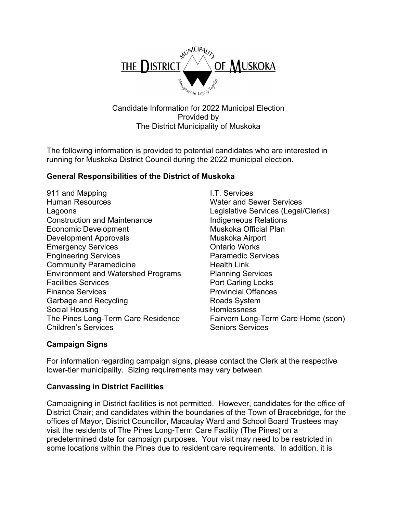

Candidate Information for 2022 Municipal Election Provided by The District Municipality of Muskoka

The following information is provided to potential candidates who are interested in running for Muskoka District Council during the 2022 municipal election.

### **General Responsibilities of the District of Muskoka**

- 911 and Mapping **I.T. Services** Human Resources Water and Sewer Services Lagoons Legislative Services (Legal/Clerks) Construction and Maintenance **Indigeneous Relations** Economic Development Muskoka Official Plan Development Approvals Muskoka Airport Emergency Services **Emergency** Services **CONTENS** Engineering Services Paramedic Services Community Paramedicine **Example 20** Health Link Environment and Watershed Programs Planning Services Facilities Services **Port Carling Locks** Finance Services **Provincial Offences** Garbage and Recycling **Example 20** Roads System Social Housing Homlessness Children's Services Services Services
	- Fairvern Long-Term Care Home (soon)

## **Campaign Signs**

For information regarding campaign signs, please contact the Clerk at the respective lower-tier municipality. Sizing requirements may vary between

#### **Canvassing in District Facilities**

Campaigning in District facilities is not permitted. However, candidates for the office of District Chair; and candidates within the boundaries of the Town of Bracebridge, for the offices of Mayor, District Councillor, Macaulay Ward and School Board Trustees may visit the residents of The Pines Long-Term Care Facility (The Pines) on a predetermined date for campaign purposes. Your visit may need to be restricted in some locations within the Pines due to resident care requirements. In addition, it is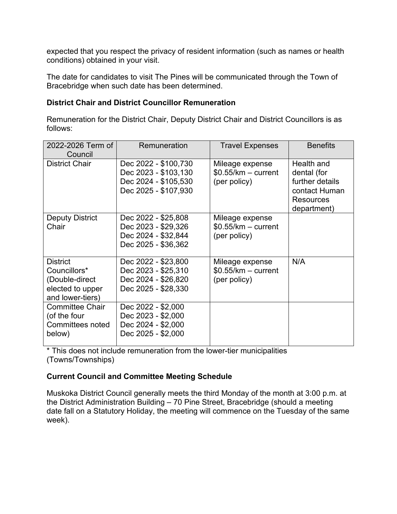expected that you respect the privacy of resident information (such as names or health conditions) obtained in your visit.

The date for candidates to visit The Pines will be communicated through the Town of Bracebridge when such date has been determined.

## **District Chair and District Councillor Remuneration**

Remuneration for the District Chair, Deputy District Chair and District Councillors is as follows:

| 2022-2026 Term of<br>Council                                                              | Remuneration                                                                                 | <b>Travel Expenses</b>                                  | <b>Benefits</b>                                                                           |
|-------------------------------------------------------------------------------------------|----------------------------------------------------------------------------------------------|---------------------------------------------------------|-------------------------------------------------------------------------------------------|
| <b>District Chair</b>                                                                     | Dec 2022 - \$100,730<br>Dec 2023 - \$103,130<br>Dec 2024 - \$105,530<br>Dec 2025 - \$107,930 | Mileage expense<br>$$0.55/km - current$<br>(per policy) | Health and<br>dental (for<br>further details<br>contact Human<br>Resources<br>department) |
| <b>Deputy District</b><br>Chair                                                           | Dec 2022 - \$25,808<br>Dec 2023 - \$29,326<br>Dec 2024 - \$32,844<br>Dec 2025 - \$36,362     | Mileage expense<br>$$0.55/km - current$<br>(per policy) |                                                                                           |
| <b>District</b><br>Councillors*<br>(Double-direct<br>elected to upper<br>and lower-tiers) | Dec 2022 - \$23,800<br>Dec 2023 - \$25,310<br>Dec 2024 - \$26,820<br>Dec 2025 - \$28,330     | Mileage expense<br>$$0.55/km - current$<br>(per policy) | N/A                                                                                       |
| <b>Committee Chair</b><br>(of the four<br>Committees noted<br>below)                      | Dec 2022 - \$2,000<br>Dec 2023 - \$2,000<br>Dec 2024 - \$2,000<br>Dec 2025 - \$2,000         |                                                         |                                                                                           |

\* This does not include remuneration from the lower-tier municipalities (Towns/Townships)

## **Current Council and Committee Meeting Schedule**

Muskoka District Council generally meets the third Monday of the month at 3:00 p.m. at the District Administration Building – 70 Pine Street, Bracebridge (should a meeting date fall on a Statutory Holiday, the meeting will commence on the Tuesday of the same week).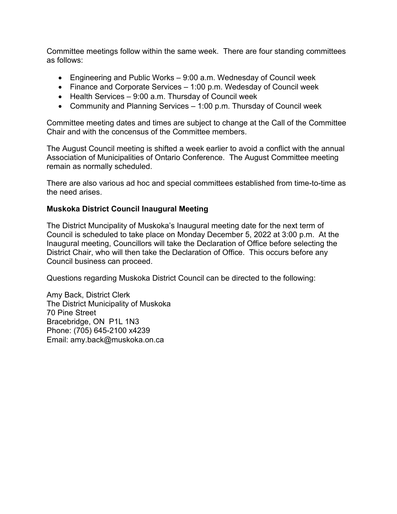Committee meetings follow within the same week. There are four standing committees as follows:

- Engineering and Public Works 9:00 a.m. Wednesday of Council week
- Finance and Corporate Services 1:00 p.m. Wedesday of Council week
- Health Services 9:00 a.m. Thursday of Council week
- Community and Planning Services 1:00 p.m. Thursday of Council week

Committee meeting dates and times are subject to change at the Call of the Committee Chair and with the concensus of the Committee members.

The August Council meeting is shifted a week earlier to avoid a conflict with the annual Association of Municipalities of Ontario Conference. The August Committee meeting remain as normally scheduled.

There are also various ad hoc and special committees established from time-to-time as the need arises.

#### **Muskoka District Council Inaugural Meeting**

The District Muncipality of Muskoka's Inaugural meeting date for the next term of Council is scheduled to take place on Monday December 5, 2022 at 3:00 p.m. At the Inaugural meeting, Councillors will take the Declaration of Office before selecting the District Chair, who will then take the Declaration of Office. This occurs before any Council business can proceed.

Questions regarding Muskoka District Council can be directed to the following:

Amy Back, District Clerk The District Municipality of Muskoka 70 Pine Street Bracebridge, ON P1L 1N3 Phone: (705) 645-2100 x4239 Email: amy.back@muskoka.on.ca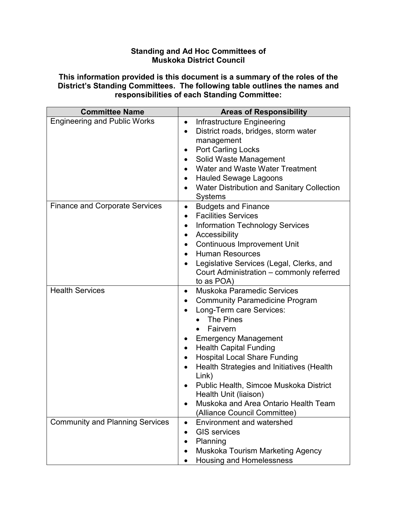### **Standing and Ad Hoc Committees of Muskoka District Council**

**This information provided is this document is a summary of the roles of the District's Standing Committees. The following table outlines the names and responsibilities of each Standing Committee:**

| <b>Committee Name</b>                  | <b>Areas of Responsibility</b>                               |  |
|----------------------------------------|--------------------------------------------------------------|--|
| <b>Engineering and Public Works</b>    | Infrastructure Engineering<br>٠                              |  |
|                                        | District roads, bridges, storm water<br>$\bullet$            |  |
|                                        | management                                                   |  |
|                                        | <b>Port Carling Locks</b><br>٠                               |  |
|                                        | Solid Waste Management<br>$\bullet$                          |  |
|                                        | Water and Waste Water Treatment                              |  |
|                                        | <b>Hauled Sewage Lagoons</b><br>$\bullet$                    |  |
|                                        | Water Distribution and Sanitary Collection<br><b>Systems</b> |  |
| <b>Finance and Corporate Services</b>  | <b>Budgets and Finance</b><br>$\bullet$                      |  |
|                                        | <b>Facilities Services</b><br>$\bullet$                      |  |
|                                        | <b>Information Technology Services</b><br>$\bullet$          |  |
|                                        | Accessibility<br>$\bullet$                                   |  |
|                                        | <b>Continuous Improvement Unit</b><br>$\bullet$              |  |
|                                        | <b>Human Resources</b><br>$\bullet$                          |  |
|                                        | Legislative Services (Legal, Clerks, and                     |  |
|                                        | Court Administration – commonly referred                     |  |
|                                        | to as POA)                                                   |  |
| <b>Health Services</b>                 | Muskoka Paramedic Services<br>$\bullet$                      |  |
|                                        | <b>Community Paramedicine Program</b><br>٠                   |  |
|                                        | Long-Term care Services:                                     |  |
|                                        | The Pines                                                    |  |
|                                        | Fairvern                                                     |  |
|                                        | <b>Emergency Management</b><br>٠                             |  |
|                                        | <b>Health Capital Funding</b>                                |  |
|                                        | <b>Hospital Local Share Funding</b><br>$\bullet$             |  |
|                                        | Health Strategies and Initiatives (Health<br>Link)           |  |
|                                        | Public Health, Simcoe Muskoka District                       |  |
|                                        | Health Unit (liaison)                                        |  |
|                                        | Muskoka and Area Ontario Health Team                         |  |
|                                        | (Alliance Council Committee)                                 |  |
| <b>Community and Planning Services</b> | <b>Environment and watershed</b>                             |  |
|                                        | <b>GIS services</b>                                          |  |
|                                        | Planning                                                     |  |
|                                        | Muskoka Tourism Marketing Agency                             |  |
|                                        | <b>Housing and Homelessness</b>                              |  |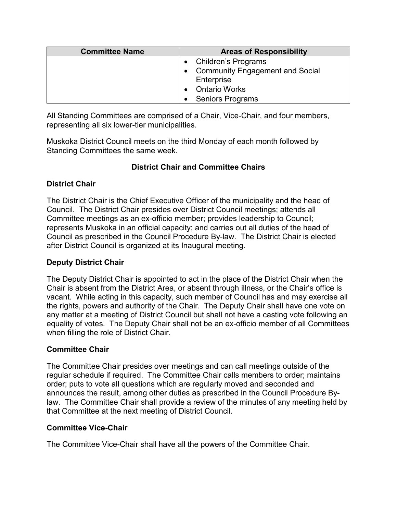| <b>Committee Name</b> | <b>Areas of Responsibility</b>         |  |
|-----------------------|----------------------------------------|--|
|                       | • Children's Programs                  |  |
|                       | <b>Community Engagement and Social</b> |  |
|                       | Enterprise                             |  |
|                       | <b>Ontario Works</b>                   |  |
|                       | <b>Seniors Programs</b>                |  |

All Standing Committees are comprised of a Chair, Vice-Chair, and four members, representing all six lower-tier municipalities.

Muskoka District Council meets on the third Monday of each month followed by Standing Committees the same week.

# **District Chair and Committee Chairs**

## **District Chair**

The District Chair is the Chief Executive Officer of the municipality and the head of Council. The District Chair presides over District Council meetings; attends all Committee meetings as an ex-officio member; provides leadership to Council; represents Muskoka in an official capacity; and carries out all duties of the head of Council as prescribed in the Council Procedure By-law. The District Chair is elected after District Council is organized at its Inaugural meeting.

## **Deputy District Chair**

The Deputy District Chair is appointed to act in the place of the District Chair when the Chair is absent from the District Area, or absent through illness, or the Chair's office is vacant. While acting in this capacity, such member of Council has and may exercise all the rights, powers and authority of the Chair. The Deputy Chair shall have one vote on any matter at a meeting of District Council but shall not have a casting vote following an equality of votes. The Deputy Chair shall not be an ex-officio member of all Committees when filling the role of District Chair.

## **Committee Chair**

The Committee Chair presides over meetings and can call meetings outside of the regular schedule if required. The Committee Chair calls members to order; maintains order; puts to vote all questions which are regularly moved and seconded and announces the result, among other duties as prescribed in the Council Procedure Bylaw. The Committee Chair shall provide a review of the minutes of any meeting held by that Committee at the next meeting of District Council.

## **Committee Vice-Chair**

The Committee Vice-Chair shall have all the powers of the Committee Chair.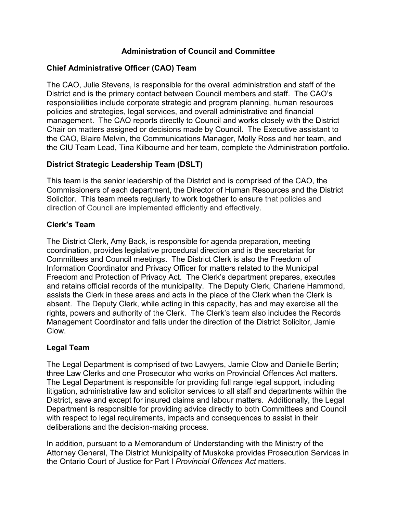## **Administration of Council and Committee**

# **Chief Administrative Officer (CAO) Team**

The CAO, Julie Stevens, is responsible for the overall administration and staff of the District and is the primary contact between Council members and staff. The CAO's responsibilities include corporate strategic and program planning, human resources policies and strategies, legal services, and overall administrative and financial management. The CAO reports directly to Council and works closely with the District Chair on matters assigned or decisions made by Council. The Executive assistant to the CAO, Blaire Melvin, the Communications Manager, Molly Ross and her team, and the CIU Team Lead, Tina Kilbourne and her team, complete the Administration portfolio.

# **District Strategic Leadership Team (DSLT)**

This team is the senior leadership of the District and is comprised of the CAO, the Commissioners of each department, the Director of Human Resources and the District Solicitor. This team meets regularly to work together to ensure that policies and direction of Council are implemented efficiently and effectively.

# **Clerk's Team**

The District Clerk, Amy Back, is responsible for agenda preparation, meeting coordination, provides legislative procedural direction and is the secretariat for Committees and Council meetings. The District Clerk is also the Freedom of Information Coordinator and Privacy Officer for matters related to the Municipal Freedom and Protection of Privacy Act. The Clerk's department prepares, executes and retains official records of the municipality. The Deputy Clerk, Charlene Hammond, assists the Clerk in these areas and acts in the place of the Clerk when the Clerk is absent. The Deputy Clerk, while acting in this capacity, has and may exercise all the rights, powers and authority of the Clerk. The Clerk's team also includes the Records Management Coordinator and falls under the direction of the District Solicitor, Jamie Clow.

## **Legal Team**

The Legal Department is comprised of two Lawyers, Jamie Clow and Danielle Bertin; three Law Clerks and one Prosecutor who works on Provincial Offences Act matters. The Legal Department is responsible for providing full range legal support, including litigation, administrative law and solicitor services to all staff and departments within the District, save and except for insured claims and labour matters. Additionally, the Legal Department is responsible for providing advice directly to both Committees and Council with respect to legal requirements, impacts and consequences to assist in their deliberations and the decision-making process.

In addition, pursuant to a Memorandum of Understanding with the Ministry of the Attorney General, The District Municipality of Muskoka provides Prosecution Services in the Ontario Court of Justice for Part I *Provincial Offences Act* matters.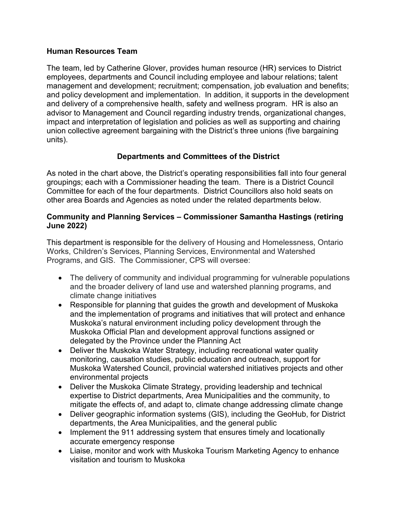### **Human Resources Team**

The team, led by Catherine Glover, provides human resource (HR) services to District employees, departments and Council including employee and labour relations; talent management and development; recruitment; compensation, job evaluation and benefits; and policy development and implementation. In addition, it supports in the development and delivery of a comprehensive health, safety and wellness program. HR is also an advisor to Management and Council regarding industry trends, organizational changes, impact and interpretation of legislation and policies as well as supporting and chairing union collective agreement bargaining with the District's three unions (five bargaining units).

# **Departments and Committees of the District**

As noted in the chart above, the District's operating responsibilities fall into four general groupings; each with a Commissioner heading the team. There is a District Council Committee for each of the four departments. District Councillors also hold seats on other area Boards and Agencies as noted under the related departments below.

### **Community and Planning Services – Commissioner Samantha Hastings (retiring June 2022)**

This department is responsible for the delivery of Housing and Homelessness, Ontario Works, Children's Services, Planning Services, Environmental and Watershed Programs, and GIS. The Commissioner, CPS will oversee:

- The delivery of community and individual programming for vulnerable populations and the broader delivery of land use and watershed planning programs, and climate change initiatives
- Responsible for planning that guides the growth and development of Muskoka and the implementation of programs and initiatives that will protect and enhance Muskoka's natural environment including policy development through the Muskoka Official Plan and development approval functions assigned or delegated by the Province under the Planning Act
- Deliver the Muskoka Water Strategy, including recreational water quality monitoring, causation studies, public education and outreach, support for Muskoka Watershed Council, provincial watershed initiatives projects and other environmental projects
- Deliver the Muskoka Climate Strategy, providing leadership and technical expertise to District departments, Area Municipalities and the community, to mitigate the effects of, and adapt to, climate change addressing climate change
- Deliver geographic information systems (GIS), including the GeoHub, for District departments, the Area Municipalities, and the general public
- Implement the 911 addressing system that ensures timely and locationally accurate emergency response
- Liaise, monitor and work with Muskoka Tourism Marketing Agency to enhance visitation and tourism to Muskoka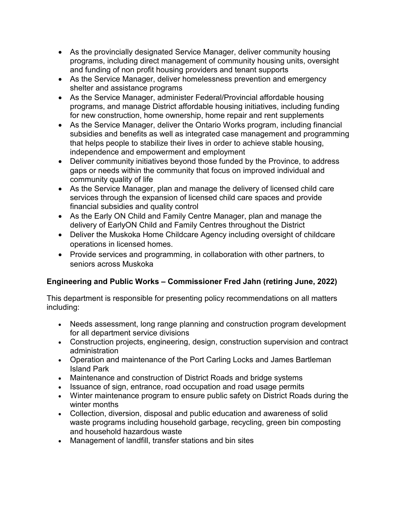- As the provincially designated Service Manager, deliver community housing programs, including direct management of community housing units, oversight and funding of non profit housing providers and tenant supports
- As the Service Manager, deliver homelessness prevention and emergency shelter and assistance programs
- As the Service Manager, administer Federal/Provincial affordable housing programs, and manage District affordable housing initiatives, including funding for new construction, home ownership, home repair and rent supplements
- As the Service Manager, deliver the Ontario Works program, including financial subsidies and benefits as well as integrated case management and programming that helps people to stabilize their lives in order to achieve stable housing, independence and empowerment and employment
- Deliver community initiatives beyond those funded by the Province, to address gaps or needs within the community that focus on improved individual and community quality of life
- As the Service Manager, plan and manage the delivery of licensed child care services through the expansion of licensed child care spaces and provide financial subsidies and quality control
- As the Early ON Child and Family Centre Manager, plan and manage the delivery of EarlyON Child and Family Centres throughout the District
- Deliver the Muskoka Home Childcare Agency including oversight of childcare operations in licensed homes.
- Provide services and programming, in collaboration with other partners, to seniors across Muskoka

# **Engineering and Public Works – Commissioner Fred Jahn (retiring June, 2022)**

This department is responsible for presenting policy recommendations on all matters including:

- Needs assessment, long range planning and construction program development for all department service divisions
- Construction projects, engineering, design, construction supervision and contract administration
- Operation and maintenance of the Port Carling Locks and James Bartleman Island Park
- Maintenance and construction of District Roads and bridge systems
- Issuance of sign, entrance, road occupation and road usage permits
- Winter maintenance program to ensure public safety on District Roads during the winter months
- Collection, diversion, disposal and public education and awareness of solid waste programs including household garbage, recycling, green bin composting and household hazardous waste
- Management of landfill, transfer stations and bin sites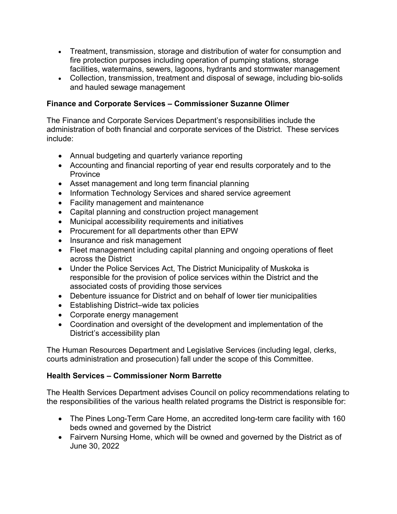- Treatment, transmission, storage and distribution of water for consumption and fire protection purposes including operation of pumping stations, storage facilities, watermains, sewers, lagoons, hydrants and stormwater management
- Collection, transmission, treatment and disposal of sewage, including bio-solids and hauled sewage management

## **Finance and Corporate Services – Commissioner Suzanne Olimer**

The Finance and Corporate Services Department's responsibilities include the administration of both financial and corporate services of the District. These services include:

- Annual budgeting and quarterly variance reporting
- Accounting and financial reporting of year end results corporately and to the Province
- Asset management and long term financial planning
- Information Technology Services and shared service agreement
- Facility management and maintenance
- Capital planning and construction project management
- Municipal accessibility requirements and initiatives
- Procurement for all departments other than EPW
- Insurance and risk management
- Fleet management including capital planning and ongoing operations of fleet across the District
- Under the Police Services Act, The District Municipality of Muskoka is responsible for the provision of police services within the District and the associated costs of providing those services
- Debenture issuance for District and on behalf of lower tier municipalities
- Establishing District–wide tax policies
- Corporate energy management
- Coordination and oversight of the development and implementation of the District's accessibility plan

The Human Resources Department and Legislative Services (including legal, clerks, courts administration and prosecution) fall under the scope of this Committee.

#### **Health Services – Commissioner Norm Barrette**

The Health Services Department advises Council on policy recommendations relating to the responsibilities of the various health related programs the District is responsible for:

- The Pines Long-Term Care Home, an accredited long-term care facility with 160 beds owned and governed by the District
- Fairvern Nursing Home, which will be owned and governed by the District as of June 30, 2022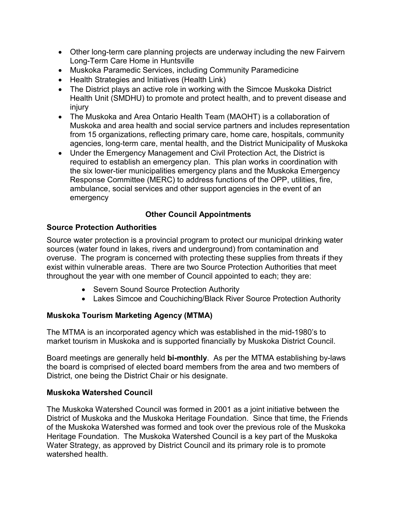- Other long-term care planning projects are underway including the new Fairvern Long-Term Care Home in Huntsville
- Muskoka Paramedic Services, including Community Paramedicine
- Health Strategies and Initiatives (Health Link)
- The District plays an active role in working with the Simcoe Muskoka District Health Unit (SMDHU) to promote and protect health, and to prevent disease and injury
- The Muskoka and Area Ontario Health Team (MAOHT) is a collaboration of Muskoka and area health and social service partners and includes representation from 15 organizations, reflecting primary care, home care, hospitals, community agencies, long-term care, mental health, and the District Municipality of Muskoka
- Under the Emergency Management and Civil Protection Act, the District is required to establish an emergency plan. This plan works in coordination with the six lower-tier municipalities emergency plans and the Muskoka Emergency Response Committee (MERC) to address functions of the OPP, utilities, fire, ambulance, social services and other support agencies in the event of an emergency

# **Other Council Appointments**

# **Source Protection Authorities**

Source water protection is a provincial program to protect our municipal drinking water sources (water found in lakes, rivers and underground) from contamination and overuse. The program is concerned with protecting these supplies from threats if they exist within vulnerable areas. There are two Source Protection Authorities that meet throughout the year with one member of Council appointed to each; they are:

- Severn Sound Source Protection Authority
- Lakes Simcoe and Couchiching/Black River Source Protection Authority

# **Muskoka Tourism Marketing Agency (MTMA)**

The MTMA is an incorporated agency which was established in the mid-1980's to market tourism in Muskoka and is supported financially by Muskoka District Council.

Board meetings are generally held **bi-monthly**. As per the MTMA establishing by-laws the board is comprised of elected board members from the area and two members of District, one being the District Chair or his designate.

## **Muskoka Watershed Council**

The Muskoka Watershed Council was formed in 2001 as a joint initiative between the District of Muskoka and the Muskoka Heritage Foundation. Since that time, the Friends of the Muskoka Watershed was formed and took over the previous role of the Muskoka Heritage Foundation. The Muskoka Watershed Council is a key part of the Muskoka Water Strategy, as approved by District Council and its primary role is to promote watershed health.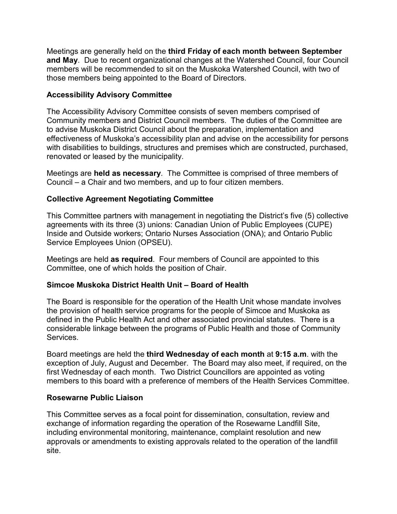Meetings are generally held on the **third Friday of each month between September and May**. Due to recent organizational changes at the Watershed Council, four Council members will be recommended to sit on the Muskoka Watershed Council, with two of those members being appointed to the Board of Directors.

## **Accessibility Advisory Committee**

The Accessibility Advisory Committee consists of seven members comprised of Community members and District Council members. The duties of the Committee are to advise Muskoka District Council about the preparation, implementation and effectiveness of Muskoka's accessibility plan and advise on the accessibility for persons with disabilities to buildings, structures and premises which are constructed, purchased, renovated or leased by the municipality.

Meetings are **held as necessary**. The Committee is comprised of three members of Council – a Chair and two members, and up to four citizen members.

### **Collective Agreement Negotiating Committee**

This Committee partners with management in negotiating the District's five (5) collective agreements with its three (3) unions: Canadian Union of Public Employees (CUPE) Inside and Outside workers; Ontario Nurses Association (ONA); and Ontario Public Service Employees Union (OPSEU).

Meetings are held **as required**. Four members of Council are appointed to this Committee, one of which holds the position of Chair.

#### **Simcoe Muskoka District Health Unit – Board of Health**

The Board is responsible for the operation of the Health Unit whose mandate involves the provision of health service programs for the people of Simcoe and Muskoka as defined in the Public Health Act and other associated provincial statutes. There is a considerable linkage between the programs of Public Health and those of Community Services.

Board meetings are held the **third Wednesday of each month** at **9:15 a.m**. with the exception of July, August and December. The Board may also meet, if required, on the first Wednesday of each month. Two District Councillors are appointed as voting members to this board with a preference of members of the Health Services Committee.

#### **Rosewarne Public Liaison**

This Committee serves as a focal point for dissemination, consultation, review and exchange of information regarding the operation of the Rosewarne Landfill Site, including environmental monitoring, maintenance, complaint resolution and new approvals or amendments to existing approvals related to the operation of the landfill site.